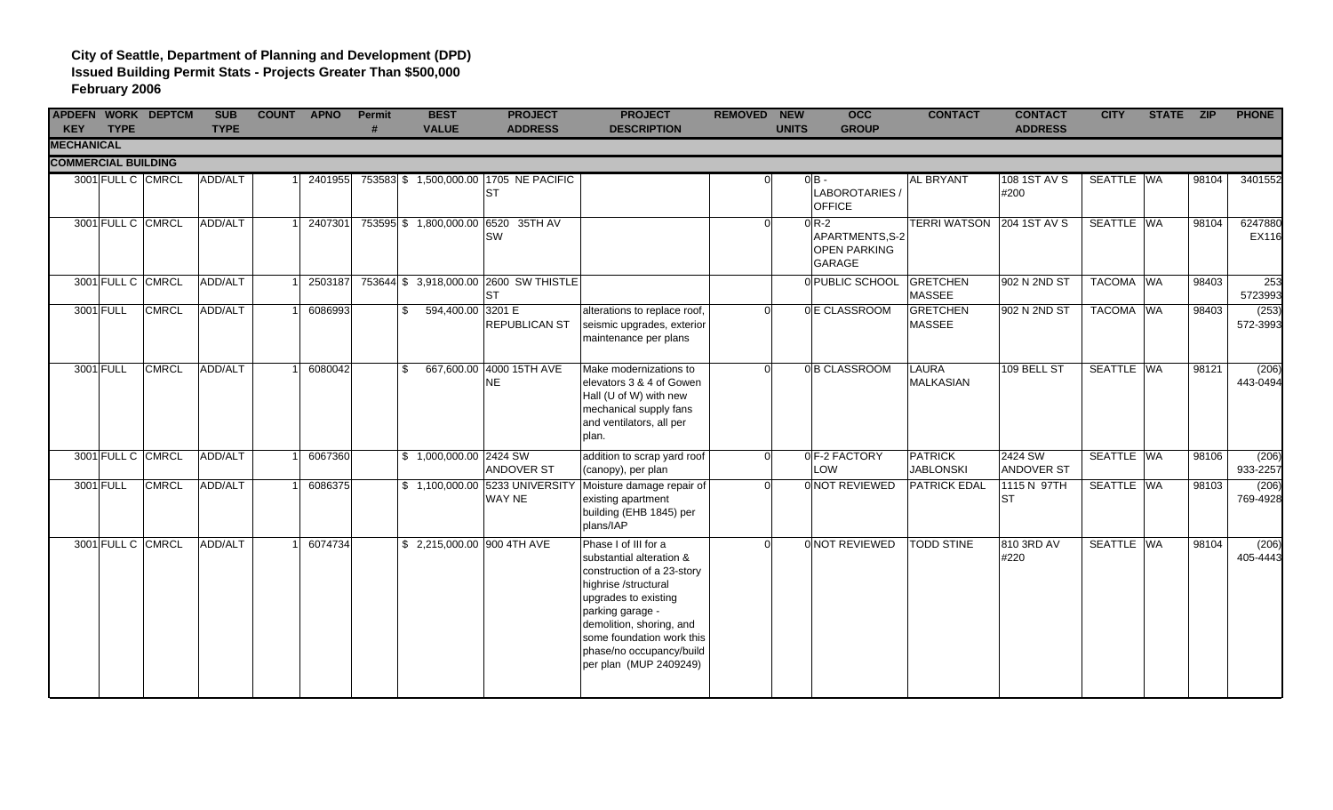| <b>KEY</b>                 | <b>TYPE</b>       | <b>APDEFN WORK DEPTCM</b> | <b>SUB</b><br><b>TYPE</b> | <b>COUNT APNO</b> |         | <b>Permit</b><br># | <b>BEST</b><br><b>VALUE</b> | <b>PROJECT</b><br><b>ADDRESS</b>                    | <b>PROJECT</b><br><b>DESCRIPTION</b>                                                                                                                                                                                                                              | <b>REMOVED</b> | <b>NEW</b><br><b>OCC</b><br><b>UNITS</b><br><b>GROUP</b>          | <b>CONTACT</b>                     | <b>CONTACT</b><br><b>ADDRESS</b> | <b>CITY</b> | STATE ZIP |       | <b>PHONE</b>      |
|----------------------------|-------------------|---------------------------|---------------------------|-------------------|---------|--------------------|-----------------------------|-----------------------------------------------------|-------------------------------------------------------------------------------------------------------------------------------------------------------------------------------------------------------------------------------------------------------------------|----------------|-------------------------------------------------------------------|------------------------------------|----------------------------------|-------------|-----------|-------|-------------------|
| <b>MECHANICAL</b>          |                   |                           |                           |                   |         |                    |                             |                                                     |                                                                                                                                                                                                                                                                   |                |                                                                   |                                    |                                  |             |           |       |                   |
| <b>COMMERCIAL BUILDING</b> |                   |                           |                           |                   |         |                    |                             |                                                     |                                                                                                                                                                                                                                                                   |                |                                                                   |                                    |                                  |             |           |       |                   |
|                            |                   | 3001 FULL C CMRCL         | ADD/ALT                   |                   | 2401955 |                    |                             | 753583 \$ 1,500,000.00 1705 NE PACIFIC<br><b>ST</b> |                                                                                                                                                                                                                                                                   |                | $0 B -$<br>LABOROTARIES /<br><b>OFFICE</b>                        | <b>AL BRYANT</b>                   | 108 1ST AV S<br>#200             | SEATTLE WA  |           | 98104 | 3401552           |
|                            | 3001 FULL C CMRCL |                           | ADD/ALT                   |                   | 2407301 |                    | 753595 \$1,800,000.00       | 6520 35TH AV<br><b>SW</b>                           |                                                                                                                                                                                                                                                                   | $\Omega$       | $0R-2$<br>APARTMENTS, S-2<br><b>OPEN PARKING</b><br><b>GARAGE</b> |                                    | TERRI WATSON 204 1ST AV S        | SEATTLE WA  |           | 98104 | 6247880<br>EX116  |
|                            |                   | 3001 FULL C CMRCL         | ADD/ALT                   |                   | 2503187 |                    |                             | 753644 \$ 3,918,000.00 2600 SW THISTLE<br><b>ST</b> |                                                                                                                                                                                                                                                                   |                | 0 PUBLIC SCHOOL                                                   | <b>GRETCHEN</b><br><b>MASSEE</b>   | 902 N 2ND ST                     | TACOMA WA   |           | 98403 | 253<br>5723993    |
|                            | 3001 FULL         | <b>CMRCL</b>              | ADD/ALT                   |                   | 6086993 | \$                 | 594,400.00 3201 E           | REPUBLICAN ST                                       | alterations to replace roof,<br>seismic upgrades, exterior<br>maintenance per plans                                                                                                                                                                               | $\Omega$       | 0 E CLASSROOM                                                     | <b>GRETCHEN</b><br><b>MASSEE</b>   | 902 N 2ND ST                     | TACOMA WA   |           | 98403 | (253)<br>572-3993 |
|                            | 3001 FULL         | <b>CMRCL</b>              | ADD/ALT                   |                   | 6080042 | \$                 | 667.600.00                  | 4000 15TH AVE<br>NE                                 | Make modernizations to<br>elevators 3 & 4 of Gowen<br>Hall (U of W) with new<br>mechanical supply fans<br>and ventilators, all per<br>plan.                                                                                                                       | $\cap$         | 0B CLASSROOM                                                      | <b>LAURA</b><br><b>MALKASIAN</b>   | 109 BELL ST                      | SEATTLE WA  |           | 98121 | (206)<br>443-0494 |
|                            | 3001 FULL C CMRCL |                           | ADD/ALT                   |                   | 6067360 |                    | \$1,000,000.00 2424 SW      | <b>ANDOVER ST</b>                                   | addition to scrap yard roof<br>(canopy), per plan                                                                                                                                                                                                                 | $\Omega$       | 0 F-2 FACTORY<br>LOW                                              | <b>PATRICK</b><br><b>JABLONSKI</b> | 2424 SW<br><b>ANDOVER ST</b>     | SEATTLE WA  |           | 98106 | (206)<br>933-2257 |
|                            | 3001 FULL         | <b>CMRCL</b>              | ADD/ALT                   |                   | 6086375 |                    | \$1,100,000.00              | 5233 UNIVERSITY<br>WAY NE                           | Moisture damage repair of<br>existing apartment<br>building (EHB 1845) per<br>plans/IAP                                                                                                                                                                           | $\Omega$       | 0 NOT REVIEWED                                                    | <b>PATRICK EDAL</b>                | 1115 N 97TH<br><b>ST</b>         | SEATTLE WA  |           | 98103 | (206)<br>769-4928 |
|                            |                   | 3001 FULL C CMRCL         | ADD/ALT                   |                   | 6074734 |                    |                             | \$ 2,215,000.00 900 4TH AVE                         | Phase I of III for a<br>substantial alteration &<br>construction of a 23-story<br>highrise /structural<br>upgrades to existing<br>parking garage -<br>demolition, shoring, and<br>some foundation work this<br>phase/no occupancy/build<br>per plan (MUP 2409249) | $\Omega$       | 0 NOT REVIEWED                                                    | <b>TODD STINE</b>                  | 810 3RD AV<br>#220               | SEATTLE WA  |           | 98104 | (206)<br>405-4443 |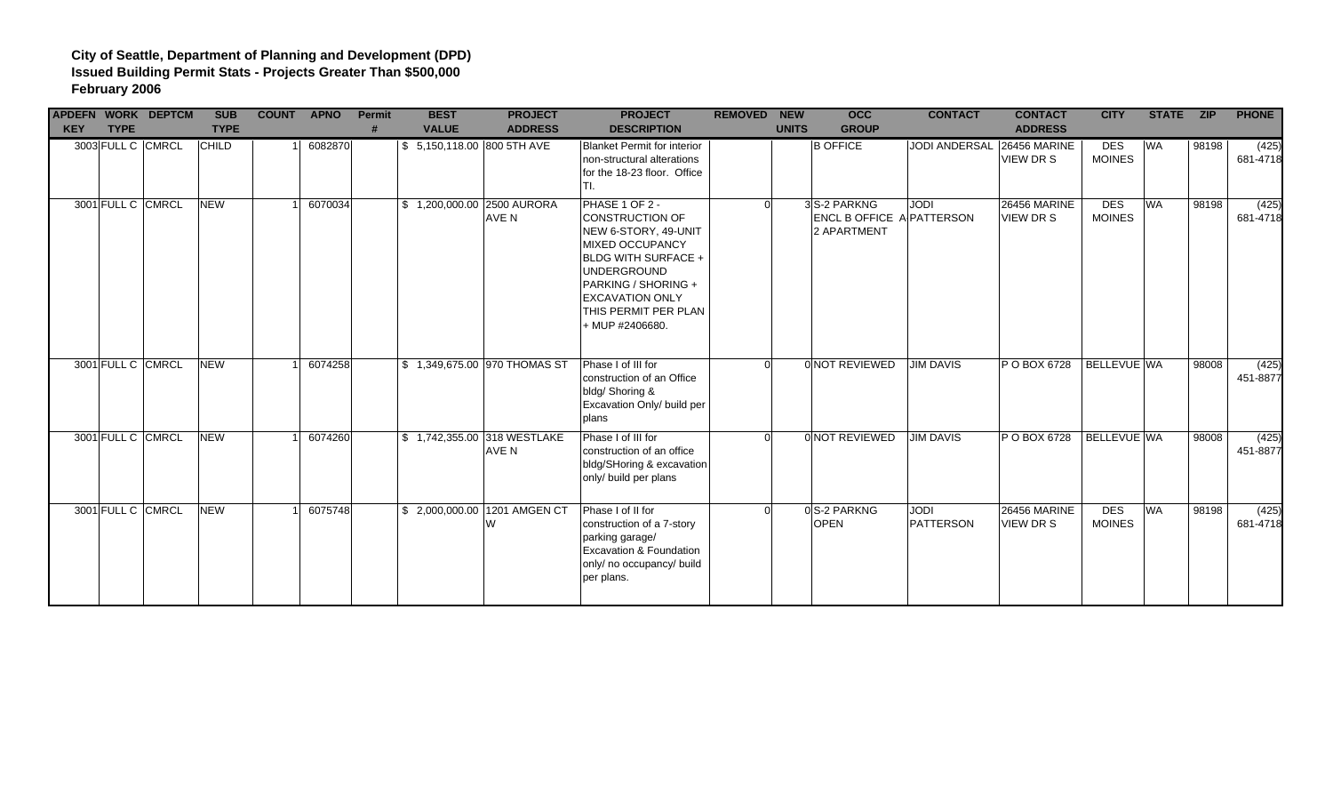| <b>KEY</b> | <b>TYPE</b>       | <b>APDEFN WORK DEPTCM</b> | <b>SUB</b><br><b>TYPE</b> | <b>COUNT APNO</b> | Permit | <b>BEST</b><br><b>VALUE</b> | <b>PROJECT</b><br><b>ADDRESS</b>     | <b>PROJECT</b><br><b>DESCRIPTION</b>                                                                                                                                                                                                | <b>REMOVED NEW</b> | <b>UNITS</b> | <b>OCC</b><br><b>GROUP</b>                                      | <b>CONTACT</b>             | <b>CONTACT</b><br><b>ADDRESS</b> | <b>CITY</b>                 | STATE ZIP |       | <b>PHONE</b>      |
|------------|-------------------|---------------------------|---------------------------|-------------------|--------|-----------------------------|--------------------------------------|-------------------------------------------------------------------------------------------------------------------------------------------------------------------------------------------------------------------------------------|--------------------|--------------|-----------------------------------------------------------------|----------------------------|----------------------------------|-----------------------------|-----------|-------|-------------------|
|            |                   | 3003 FULL C CMRCL         | <b>CHILD</b>              | 6082870           |        | \$ 5,150,118.00 800 5TH AVE |                                      | <b>Blanket Permit for interior</b><br>non-structural alterations<br>for the 18-23 floor. Office<br>TI.                                                                                                                              |                    |              | <b>B OFFICE</b>                                                 | JODI ANDERSAL 26456 MARINE | VIEW DR S                        | <b>DES</b><br><b>MOINES</b> | <b>WA</b> | 98198 | (425)<br>681-4718 |
|            | 3001 FULL C CMRCL |                           | <b>NEW</b>                | 6070034           |        | \$1,200,000.00 2500 AURORA  | AVE N                                | PHASE 1 OF 2 -<br>CONSTRUCTION OF<br>NEW 6-STORY, 49-UNIT<br><b>MIXED OCCUPANCY</b><br><b>BLDG WITH SURFACE +</b><br><b>UNDERGROUND</b><br>PARKING / SHORING +<br><b>EXCAVATION ONLY</b><br>THIS PERMIT PER PLAN<br>+ MUP #2406680. |                    |              | 3 S-2 PARKNG<br><b>ENCL B OFFICE A PATTERSON</b><br>2 APARTMENT | <b>JODI</b>                | <b>26456 MARINE</b><br>VIEW DR S | <b>DES</b><br><b>MOINES</b> | <b>WA</b> | 98198 | (425)<br>681-4718 |
|            | 3001 FULL C CMRCL |                           | <b>NEW</b>                | 6074258           |        |                             | \$ 1,349,675.00 970 THOMAS ST        | Phase I of III for<br>construction of an Office<br>bldg/ Shoring &<br>Excavation Only/ build per<br>plans                                                                                                                           |                    |              | 0 NOT REVIEWED                                                  | <b>JIM DAVIS</b>           | P O BOX 6728                     | BELLEVUE WA                 |           | 98008 | (425)<br>451-8877 |
|            | 3001 FULL C CMRCL |                           | <b>NEW</b>                | 6074260           |        |                             | \$1,742,355.00 318 WESTLAKE<br>AVE N | Phase I of III for<br>construction of an office<br>bldg/SHoring & excavation<br>only/ build per plans                                                                                                                               |                    |              | 0 NOT REVIEWED                                                  | <b>JIM DAVIS</b>           | P O BOX 6728                     | <b>BELLEVUE WA</b>          |           | 98008 | (425)<br>451-8877 |
|            | 3001 FULL C CMRCL |                           | <b>NEW</b>                | 6075748           |        |                             | \$ 2,000,000.00 1201 AMGEN CT<br>W   | Phase I of II for<br>construction of a 7-story<br>parking garage/<br>Excavation & Foundation<br>only/ no occupancy/ build<br>per plans.                                                                                             |                    |              | 0 S-2 PARKNG<br><b>OPEN</b>                                     | <b>JODI</b><br>PATTERSON   | <b>26456 MARINE</b><br>VIEW DR S | <b>DES</b><br><b>MOINES</b> | <b>WA</b> | 98198 | (425)<br>681-4718 |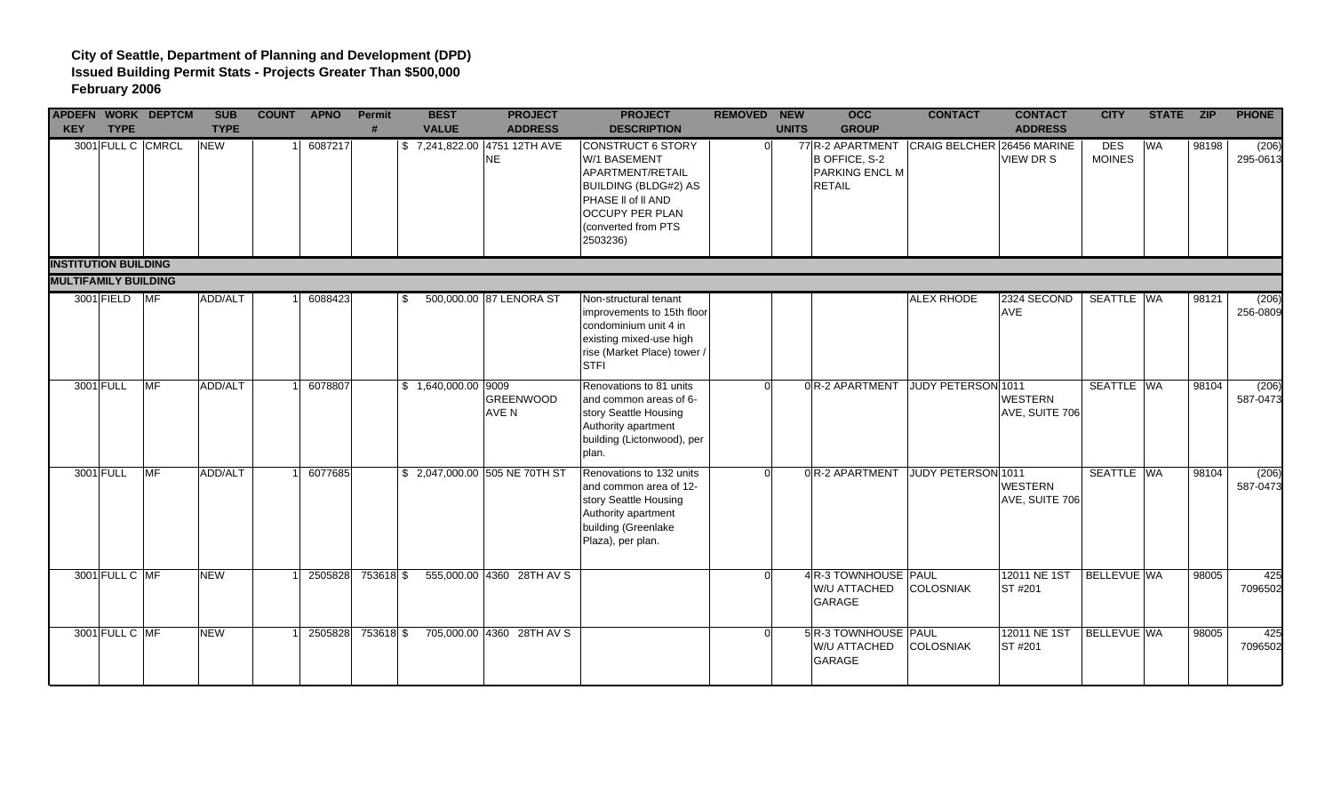| <b>APDEFN WORK DEPTCM</b><br><b>KEY</b> | <b>TYPE</b>       |           | <b>SUB</b><br><b>TYPE</b> | <b>COUNT APNO</b> | Permit<br>$\boldsymbol{\mu}$ | <b>BEST</b><br><b>VALUE</b>  | <b>PROJECT</b><br><b>ADDRESS</b> | <b>PROJECT</b><br><b>DESCRIPTION</b>                                                                                                                             | <b>REMOVED NEW</b> | <b>UNITS</b> | <b>OCC</b><br><b>GROUP</b>                                    | <b>CONTACT</b>             | <b>CONTACT</b><br><b>ADDRESS</b> | <b>CITY</b>                 | STATE ZIP |       | <b>PHONE</b>      |
|-----------------------------------------|-------------------|-----------|---------------------------|-------------------|------------------------------|------------------------------|----------------------------------|------------------------------------------------------------------------------------------------------------------------------------------------------------------|--------------------|--------------|---------------------------------------------------------------|----------------------------|----------------------------------|-----------------------------|-----------|-------|-------------------|
|                                         | 3001 FULL C CMRCL |           | <b>NEW</b>                | 6087217           |                              | \$7,241,822.00 4751 12TH AVE | NE                               | CONSTRUCT 6 STORY<br>W/1 BASEMENT<br>APARTMENT/RETAIL<br><b>BUILDING (BLDG#2) AS</b><br>PHASE II of II AND<br>OCCUPY PER PLAN<br>(converted from PTS<br>2503236) |                    | ി            | 77 R-2 APARTMENT<br>B OFFICE, S-2<br>PARKING ENCL M<br>RETAIL | CRAIG BELCHER 26456 MARINE | VIEW DR S                        | <b>DES</b><br><b>MOINES</b> | <b>WA</b> | 98198 | (206)<br>295-0613 |
| <b>INSTITUTION BUILDING</b>             |                   |           |                           |                   |                              |                              |                                  |                                                                                                                                                                  |                    |              |                                                               |                            |                                  |                             |           |       |                   |
| <b>MULTIFAMILY BUILDING</b>             | 3001 FIELD MF     |           | ADD/ALT                   | 6088423           |                              | \$.                          | 500,000.00 87 LENORA ST          | Non-structural tenant<br>improvements to 15th floor<br>condominium unit 4 in<br>existing mixed-use high<br>rise (Market Place) tower /<br><b>STFI</b>            |                    |              |                                                               | <b>ALEX RHODE</b>          | 2324 SECOND<br><b>AVE</b>        | SEATTLE WA                  |           | 98121 | (206)<br>256-0809 |
| 3001 FULL                               |                   | <b>MF</b> | ADD/ALT                   | 6078807           |                              | $$1,640,000.00$ 9009         | <b>GREENWOOD</b><br>AVE N        | Renovations to 81 units<br>and common areas of 6-<br>story Seattle Housing<br>Authority apartment<br>building (Lictonwood), per<br>plan.                         |                    |              | 0R-2 APARTMENT                                                | JUDY PETERSON 1011         | <b>WESTERN</b><br>AVE, SUITE 706 | SEATTLE WA                  |           | 98104 | (206)<br>587-0473 |
|                                         | 3001 FULL         | <b>MF</b> | ADD/ALT                   | 6077685           |                              |                              | \$ 2,047,000.00 505 NE 70TH ST   | Renovations to 132 units<br>and common area of 12-<br>story Seattle Housing<br>Authority apartment<br>building (Greenlake<br>Plaza), per plan.                   |                    | $\Omega$     | 0R-2 APARTMENT                                                | JUDY PETERSON 1011         | <b>WESTERN</b><br>AVE, SUITE 706 | SEATTLE WA                  |           | 98104 | (206)<br>587-0473 |
|                                         | 3001 FULL C MF    |           | <b>NEW</b>                | 2505828           | 753618 \$                    |                              | 555,000.00 4360 28TH AV S        |                                                                                                                                                                  |                    |              | 4 R-3 TOWNHOUSE PAUL<br>W/U ATTACHED<br>GARAGE                | <b>COLOSNIAK</b>           | 12011 NE 1ST<br>ST #201          | BELLEVUE WA                 |           | 98005 | 425<br>7096502    |
|                                         | 3001 FULL C MF    |           | <b>NEW</b>                | 2505828           | 753618 \$                    |                              | 705,000.00 4360 28TH AV S        |                                                                                                                                                                  |                    | $\Omega$     | 5 R-3 TOWNHOUSE PAUL<br>W/U ATTACHED<br>GARAGE                | <b>COLOSNIAK</b>           | 12011 NE 1ST<br><b>ST#201</b>    | BELLEVUE WA                 |           | 98005 | 425<br>7096502    |